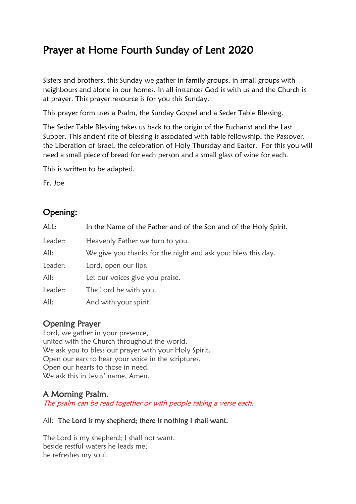# Prayer at Home Fourth Sunday of Lent 2020

Sisters and brothers, this Sunday we gather in family groups, in small groups with neighbours and alone in our homes. In all instances God is with us and the Church is at prayer. This prayer resource is for you this Sunday.

This prayer form uses a Psalm, the Sunday Gospel and a Seder Table Blessing.

The Seder Table Blessing takes us back to the origin of the Eucharist and the Last Supper. This ancient rite of blessing is associated with table fellowship, the Passover, the Liberation of Israel, the celebration of Holy Thursday and Easter. For this you will need a small piece of bread for each person and a small glass of wine for each.

This is written to be adapted.

Fr. Joe

# Opening:

| ALL:    | In the Name of the Father and of the Son and of the Holy Spirit. |
|---------|------------------------------------------------------------------|
| Leader: | Heavenly Father we turn to you.                                  |
| All:    | We give you thanks for the night and ask you: bless this day.    |
| Leader: | Lord, open our lips.                                             |
| All:    | Let our voices give you praise.                                  |
| Leader: | The Lord be with you.                                            |
| All:    | And with your spirit.                                            |

# Opening Prayer

Lord, we gather in your presence, united with the Church throughout the world. We ask you to bless our prayer with your Holy Spirit. Open our ears to hear your voice in the scriptures. Open our hearts to those in need. We ask this in Jesus' name, Amen.

# A Morning Psalm.

The psalm can be read together or with people taking a verse each.

### All: The Lord is my shepherd; there is nothing I shall want.

The Lord is my shepherd; I shall not want. beside restful waters he leads me; he refreshes my soul.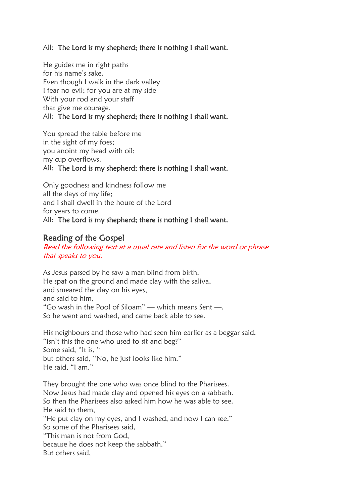### All: The Lord is my shepherd; there is nothing I shall want.

He guides me in right paths for his name's sake. Even though I walk in the dark valley I fear no evil; for you are at my side With your rod and your staff that give me courage. All: The Lord is my shepherd; there is nothing I shall want.

You spread the table before me in the sight of my foes; you anoint my head with oil; my cup overflows. All: The Lord is my shepherd; there is nothing I shall want.

Only goodness and kindness follow me all the days of my life; and I shall dwell in the house of the Lord for years to come. All: The Lord is my shepherd; there is nothing I shall want.

### Reading of the Gospel

Read the following text at a usual rate and listen for the word or phrase that speaks to you.

As Jesus passed by he saw a man blind from birth. He spat on the ground and made clay with the saliva, and smeared the clay on his eyes, and said to him, "Go wash in the Pool of Siloam" — which means Sent —. So he went and washed, and came back able to see.

His neighbours and those who had seen him earlier as a beggar said, "Isn't this the one who used to sit and beg?" Some said, "It is, " but others said, "No, he just looks like him." He said, "I am."

They brought the one who was once blind to the Pharisees. Now Jesus had made clay and opened his eyes on a sabbath. So then the Pharisees also asked him how he was able to see. He said to them, "He put clay on my eyes, and I washed, and now I can see." So some of the Pharisees said,

"This man is not from God,

because he does not keep the sabbath."

But others said,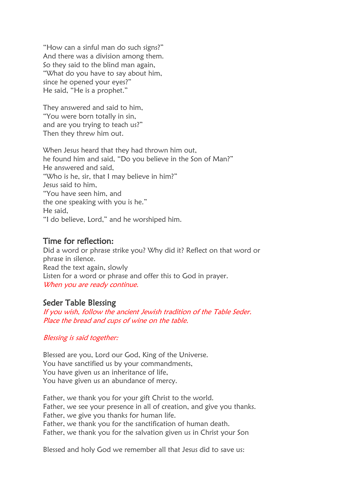"How can a sinful man do such signs?" And there was a division among them. So they said to the blind man again, "What do you have to say about him, since he opened your eyes?" He said, "He is a prophet."

They answered and said to him, "You were born totally in sin, and are you trying to teach us?" Then they threw him out.

When Jesus heard that they had thrown him out, he found him and said, "Do you believe in the Son of Man?" He answered and said, "Who is he, sir, that I may believe in him?" Jesus said to him, "You have seen him, and the one speaking with you is he." He said, "I do believe, Lord," and he worshiped him.

#### Time for reflection:

Did a word or phrase strike you? Why did it? Reflect on that word or phrase in silence. Read the text again, slowly Listen for a word or phrase and offer this to God in prayer. When you are ready continue.

### Seder Table Blessing

If you wish, follow the ancient Jewish tradition of the Table Seder. Place the bread and cups of wine on the table.

#### Blessing is said together:

Blessed are you, Lord our God, King of the Universe. You have sanctified us by your commandments, You have given us an inheritance of life, You have given us an abundance of mercy.

Father, we thank you for your gift Christ to the world. Father, we see your presence in all of creation, and give you thanks. Father, we give you thanks for human life. Father, we thank you for the sanctification of human death. Father, we thank you for the salvation given us in Christ your Son

Blessed and holy God we remember all that Jesus did to save us: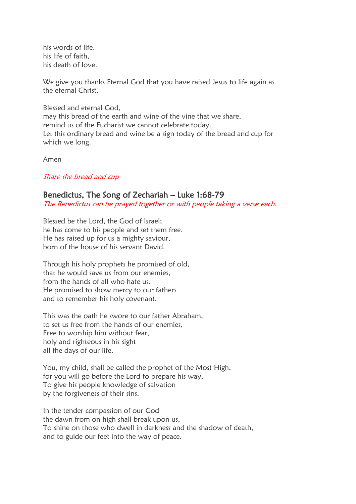his words of life, his life of faith, his death of love.

We give you thanks Eternal God that you have raised Jesus to life again as the eternal Christ.

Blessed and eternal God, may this bread of the earth and wine of the vine that we share, remind us of the Eucharist we cannot celebrate today. Let this ordinary bread and wine be a sign today of the bread and cup for which we long.

Amen

#### Share the bread and cup

### Benedictus, The Song of Zechariah – Luke 1:68-79

The Benedictus can be prayed together or with people taking a verse each.

Blessed be the Lord, the God of Israel; he has come to his people and set them free. He has raised up for us a mighty saviour, born of the house of his servant David.

Through his holy prophets he promised of old, that he would save us from our enemies, from the hands of all who hate us. He promised to show mercy to our fathers and to remember his holy covenant.

This was the oath he swore to our father Abraham, to set us free from the hands of our enemies, Free to worship him without fear, holy and righteous in his sight all the days of our life.

You, my child, shall be called the prophet of the Most High, for you will go before the Lord to prepare his way, To give his people knowledge of salvation by the forgiveness of their sins.

In the tender compassion of our God the dawn from on high shall break upon us, To shine on those who dwell in darkness and the shadow of death, and to guide our feet into the way of peace.